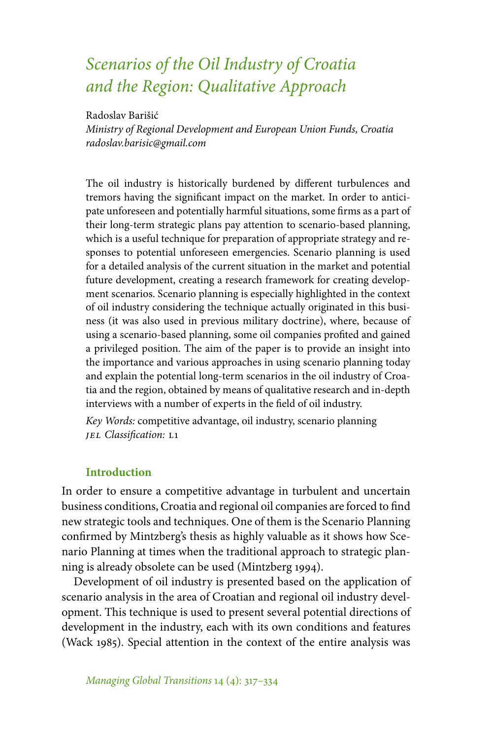# *Scenarios of the Oil Industry of Croatia and the Region: Qualitative Approach*

Radoslav Barišić

*Ministry of Regional Development and European Union Funds, Croatia radoslav.barisic@gmail.com*

The oil industry is historically burdened by different turbulences and tremors having the significant impact on the market. In order to anticipate unforeseen and potentially harmful situations, some firms as a part of their long-term strategic plans pay attention to scenario-based planning, which is a useful technique for preparation of appropriate strategy and responses to potential unforeseen emergencies. Scenario planning is used for a detailed analysis of the current situation in the market and potential future development, creating a research framework for creating development scenarios. Scenario planning is especially highlighted in the context of oil industry considering the technique actually originated in this business (it was also used in previous military doctrine), where, because of using a scenario-based planning, some oil companies profited and gained a privileged position. The aim of the paper is to provide an insight into the importance and various approaches in using scenario planning today and explain the potential long-term scenarios in the oil industry of Croatia and the region, obtained by means of qualitative research and in-depth interviews with a number of experts in the field of oil industry.

*Key Words:* competitive advantage, oil industry, scenario planning *jel Classification:* l1

## **Introduction**

In order to ensure a competitive advantage in turbulent and uncertain business conditions, Croatia and regional oil companies are forced to find new strategic tools and techniques. One of them is the Scenario Planning confirmed by Mintzberg's thesis as highly valuable as it shows how Scenario Planning at times when the traditional approach to strategic planning is already obsolete can be used (Mintzberg 1994).

Development of oil industry is presented based on the application of scenario analysis in the area of Croatian and regional oil industry development. This technique is used to present several potential directions of development in the industry, each with its own conditions and features (Wack 1985). Special attention in the context of the entire analysis was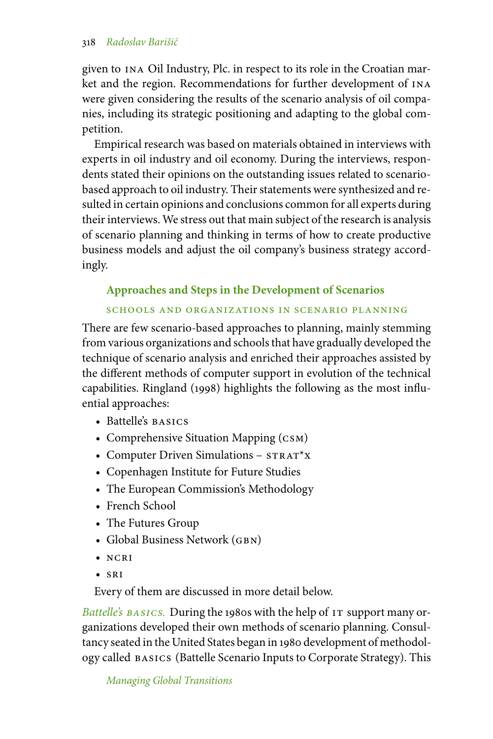given to ina Oil Industry, Plc. in respect to its role in the Croatian market and the region. Recommendations for further development of ina were given considering the results of the scenario analysis of oil companies, including its strategic positioning and adapting to the global competition.

Empirical research was based on materials obtained in interviews with experts in oil industry and oil economy. During the interviews, respondents stated their opinions on the outstanding issues related to scenariobased approach to oil industry. Their statements were synthesized and resulted in certain opinions and conclusions common for all experts during their interviews. We stress out that main subject of the research is analysis of scenario planning and thinking in terms of how to create productive business models and adjust the oil company's business strategy accordingly.

# **Approaches and Steps in the Development of Scenarios**

# schools and organizations in scenario planning

There are few scenario-based approaches to planning, mainly stemming from various organizations and schools that have gradually developed the technique of scenario analysis and enriched their approaches assisted by the different methods of computer support in evolution of the technical capabilities. Ringland (1998) highlights the following as the most influential approaches:

- Battelle's BASICS
- Comprehensive Situation Mapping (CSM)
- Computer Driven Simulations  $STRAT^*X$
- Copenhagen Institute for Future Studies
- The European Commission's Methodology
- French School
- The Futures Group
- Global Business Network (GBN)
- ncri
- sri

Every of them are discussed in more detail below.

*Battelle's BASICS*. During the 1980s with the help of IT support many organizations developed their own methods of scenario planning. Consultancy seated in the United States began in 1980 development of methodology called basics (Battelle Scenario Inputs to Corporate Strategy). This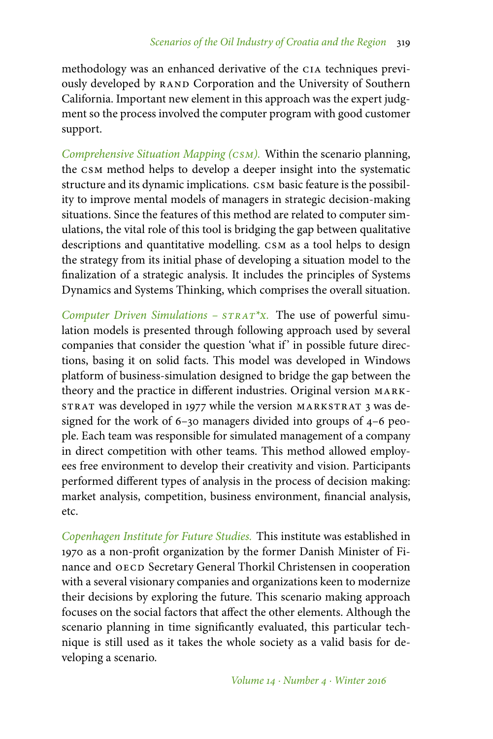methodology was an enhanced derivative of the cia techniques previously developed by RAND Corporation and the University of Southern California. Important new element in this approach was the expert judgment so the process involved the computer program with good customer support.

*Comprehensive Situation Mapping (csm).* Within the scenario planning, the csm method helps to develop a deeper insight into the systematic structure and its dynamic implications. csm basic feature is the possibility to improve mental models of managers in strategic decision-making situations. Since the features of this method are related to computer simulations, the vital role of this tool is bridging the gap between qualitative descriptions and quantitative modelling. csm as a tool helps to design the strategy from its initial phase of developing a situation model to the finalization of a strategic analysis. It includes the principles of Systems Dynamics and Systems Thinking, which comprises the overall situation.

*Computer Driven Simulations – strat\*x.* The use of powerful simulation models is presented through following approach used by several companies that consider the question 'what if' in possible future directions, basing it on solid facts. This model was developed in Windows platform of business-simulation designed to bridge the gap between the theory and the practice in different industries. Original version MARKsTRAT was developed in 1977 while the version MARKSTRAT 3 was designed for the work of 6–30 managers divided into groups of 4–6 people. Each team was responsible for simulated management of a company in direct competition with other teams. This method allowed employees free environment to develop their creativity and vision. Participants performed different types of analysis in the process of decision making: market analysis, competition, business environment, financial analysis, etc.

*Copenhagen Institute for Future Studies.* This institute was established in 1970 as a non-profit organization by the former Danish Minister of Finance and OECD Secretary General Thorkil Christensen in cooperation with a several visionary companies and organizations keen to modernize their decisions by exploring the future. This scenario making approach focuses on the social factors that affect the other elements. Although the scenario planning in time significantly evaluated, this particular technique is still used as it takes the whole society as a valid basis for developing a scenario.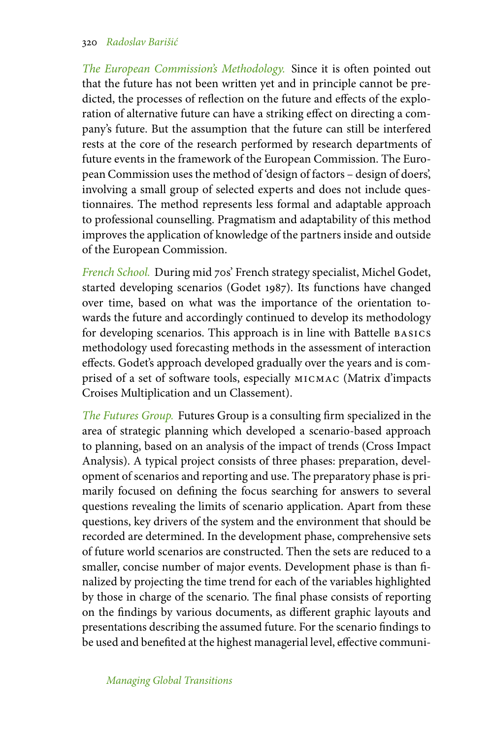*The European Commission's Methodology.* Since it is often pointed out that the future has not been written yet and in principle cannot be predicted, the processes of reflection on the future and effects of the exploration of alternative future can have a striking effect on directing a company's future. But the assumption that the future can still be interfered rests at the core of the research performed by research departments of future events in the framework of the European Commission. The European Commission uses the method of 'design of factors – design of doers', involving a small group of selected experts and does not include questionnaires. The method represents less formal and adaptable approach to professional counselling. Pragmatism and adaptability of this method improves the application of knowledge of the partners inside and outside of the European Commission.

*French School.* During mid 70s' French strategy specialist, Michel Godet, started developing scenarios (Godet 1987). Its functions have changed over time, based on what was the importance of the orientation towards the future and accordingly continued to develop its methodology for developing scenarios. This approach is in line with Battelle basics methodology used forecasting methods in the assessment of interaction effects. Godet's approach developed gradually over the years and is comprised of a set of software tools, especially micmac (Matrix d'impacts Croises Multiplication and un Classement).

*The Futures Group.* Futures Group is a consulting firm specialized in the area of strategic planning which developed a scenario-based approach to planning, based on an analysis of the impact of trends (Cross Impact Analysis). A typical project consists of three phases: preparation, development of scenarios and reporting and use. The preparatory phase is primarily focused on defining the focus searching for answers to several questions revealing the limits of scenario application. Apart from these questions, key drivers of the system and the environment that should be recorded are determined. In the development phase, comprehensive sets of future world scenarios are constructed. Then the sets are reduced to a smaller, concise number of major events. Development phase is than finalized by projecting the time trend for each of the variables highlighted by those in charge of the scenario. The final phase consists of reporting on the findings by various documents, as different graphic layouts and presentations describing the assumed future. For the scenario findings to be used and benefited at the highest managerial level, effective communi-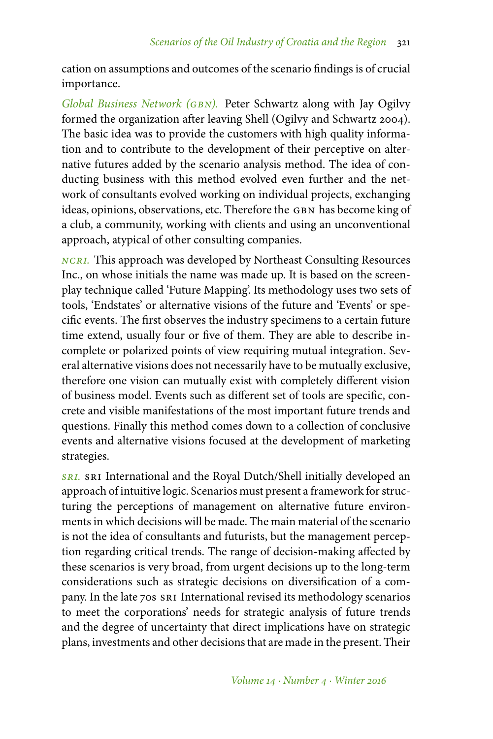cation on assumptions and outcomes of the scenario findings is of crucial importance.

*Global Business Network (gbn).* Peter Schwartz along with Jay Ogilvy formed the organization after leaving Shell (Ogilvy and Schwartz 2004). The basic idea was to provide the customers with high quality information and to contribute to the development of their perceptive on alternative futures added by the scenario analysis method. The idea of conducting business with this method evolved even further and the network of consultants evolved working on individual projects, exchanging ideas, opinions, observations, etc. Therefore the GBN has become king of a club, a community, working with clients and using an unconventional approach, atypical of other consulting companies.

*ncri.* This approach was developed by Northeast Consulting Resources Inc., on whose initials the name was made up. It is based on the screenplay technique called 'Future Mapping'. Its methodology uses two sets of tools, 'Endstates' or alternative visions of the future and 'Events' or specific events. The first observes the industry specimens to a certain future time extend, usually four or five of them. They are able to describe incomplete or polarized points of view requiring mutual integration. Several alternative visions does not necessarily have to be mutually exclusive, therefore one vision can mutually exist with completely different vision of business model. Events such as different set of tools are specific, concrete and visible manifestations of the most important future trends and questions. Finally this method comes down to a collection of conclusive events and alternative visions focused at the development of marketing strategies.

**SRI.** SRI International and the Royal Dutch/Shell initially developed an approach of intuitive logic. Scenarios must present a framework for structuring the perceptions of management on alternative future environments in which decisions will be made. The main material of the scenario is not the idea of consultants and futurists, but the management perception regarding critical trends. The range of decision-making affected by these scenarios is very broad, from urgent decisions up to the long-term considerations such as strategic decisions on diversification of a company. In the late 70s sri International revised its methodology scenarios to meet the corporations' needs for strategic analysis of future trends and the degree of uncertainty that direct implications have on strategic plans, investments and other decisions that are made in the present. Their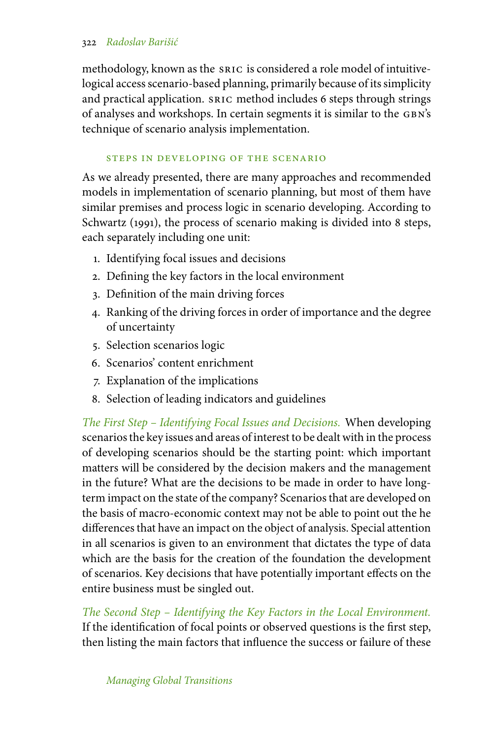methodology, known as the sric is considered a role model of intuitivelogical access scenario-based planning, primarily because of its simplicity and practical application. sric method includes 6 steps through strings of analyses and workshops. In certain segments it is similar to the gbn's technique of scenario analysis implementation.

### steps in developing of the scenario

As we already presented, there are many approaches and recommended models in implementation of scenario planning, but most of them have similar premises and process logic in scenario developing. According to Schwartz (1991), the process of scenario making is divided into 8 steps, each separately including one unit:

- 1. Identifying focal issues and decisions
- 2. Defining the key factors in the local environment
- 3. Definition of the main driving forces
- 4. Ranking of the driving forces in order of importance and the degree of uncertainty
- 5. Selection scenarios logic
- 6. Scenarios' content enrichment
- 7. Explanation of the implications
- 8. Selection of leading indicators and guidelines

*The First Step – Identifying Focal Issues and Decisions.* When developing scenarios the key issues and areas of interest to be dealt with in the process of developing scenarios should be the starting point: which important matters will be considered by the decision makers and the management in the future? What are the decisions to be made in order to have longterm impact on the state of the company? Scenarios that are developed on the basis of macro-economic context may not be able to point out the he differences that have an impact on the object of analysis. Special attention in all scenarios is given to an environment that dictates the type of data which are the basis for the creation of the foundation the development of scenarios. Key decisions that have potentially important effects on the entire business must be singled out.

*The Second Step – Identifying the Key Factors in the Local Environment.* If the identification of focal points or observed questions is the first step, then listing the main factors that influence the success or failure of these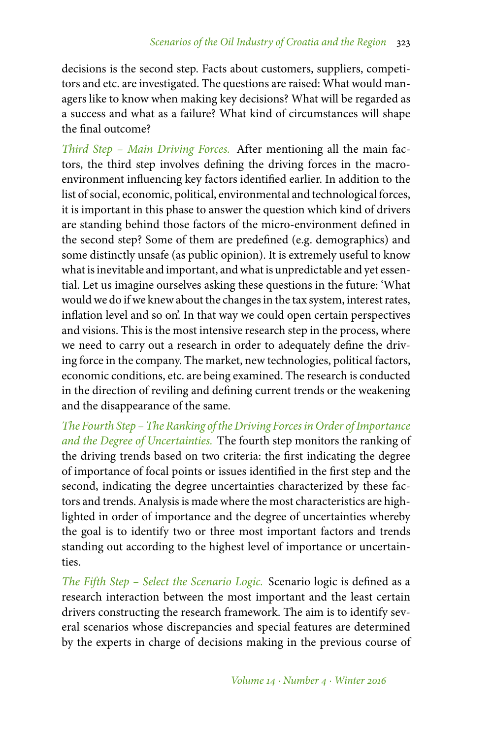decisions is the second step. Facts about customers, suppliers, competitors and etc. are investigated. The questions are raised: What would managers like to know when making key decisions? What will be regarded as a success and what as a failure? What kind of circumstances will shape the final outcome?

*Third Step – Main Driving Forces.* After mentioning all the main factors, the third step involves defining the driving forces in the macroenvironment influencing key factors identified earlier. In addition to the list of social, economic, political, environmental and technological forces, it is important in this phase to answer the question which kind of drivers are standing behind those factors of the micro-environment defined in the second step? Some of them are predefined (e.g. demographics) and some distinctly unsafe (as public opinion). It is extremely useful to know what is inevitable and important, and what is unpredictable and yet essential. Let us imagine ourselves asking these questions in the future: 'What would we do if we knew about the changes in the tax system, interest rates, inflation level and so on'. In that way we could open certain perspectives and visions. This is the most intensive research step in the process, where we need to carry out a research in order to adequately define the driving force in the company. The market, new technologies, political factors, economic conditions, etc. are being examined. The research is conducted in the direction of reviling and defining current trends or the weakening and the disappearance of the same.

*The Fourth Step – The Ranking of the Driving Forces in Order of Importance and the Degree of Uncertainties.* The fourth step monitors the ranking of the driving trends based on two criteria: the first indicating the degree of importance of focal points or issues identified in the first step and the second, indicating the degree uncertainties characterized by these factors and trends. Analysis is made where the most characteristics are highlighted in order of importance and the degree of uncertainties whereby the goal is to identify two or three most important factors and trends standing out according to the highest level of importance or uncertainties.

*The Fifth Step – Select the Scenario Logic.* Scenario logic is defined as a research interaction between the most important and the least certain drivers constructing the research framework. The aim is to identify several scenarios whose discrepancies and special features are determined by the experts in charge of decisions making in the previous course of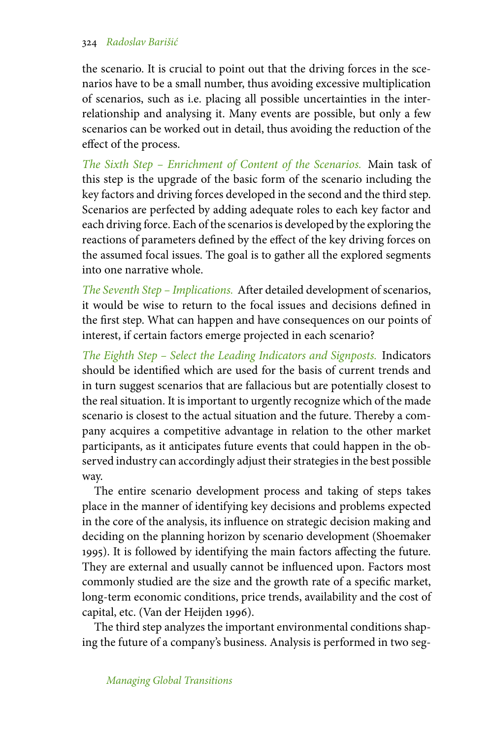the scenario. It is crucial to point out that the driving forces in the scenarios have to be a small number, thus avoiding excessive multiplication of scenarios, such as i.e. placing all possible uncertainties in the interrelationship and analysing it. Many events are possible, but only a few scenarios can be worked out in detail, thus avoiding the reduction of the effect of the process.

*The Sixth Step – Enrichment of Content of the Scenarios.* Main task of this step is the upgrade of the basic form of the scenario including the key factors and driving forces developed in the second and the third step. Scenarios are perfected by adding adequate roles to each key factor and each driving force. Each of the scenarios is developed by the exploring the reactions of parameters defined by the effect of the key driving forces on the assumed focal issues. The goal is to gather all the explored segments into one narrative whole.

*The Seventh Step – Implications.* After detailed development of scenarios, it would be wise to return to the focal issues and decisions defined in the first step. What can happen and have consequences on our points of interest, if certain factors emerge projected in each scenario?

*The Eighth Step – Select the Leading Indicators and Signposts.* Indicators should be identified which are used for the basis of current trends and in turn suggest scenarios that are fallacious but are potentially closest to the real situation. It is important to urgently recognize which of the made scenario is closest to the actual situation and the future. Thereby a company acquires a competitive advantage in relation to the other market participants, as it anticipates future events that could happen in the observed industry can accordingly adjust their strategies in the best possible way.

The entire scenario development process and taking of steps takes place in the manner of identifying key decisions and problems expected in the core of the analysis, its influence on strategic decision making and deciding on the planning horizon by scenario development (Shoemaker 1995). It is followed by identifying the main factors affecting the future. They are external and usually cannot be influenced upon. Factors most commonly studied are the size and the growth rate of a specific market, long-term economic conditions, price trends, availability and the cost of capital, etc. (Van der Heijden 1996).

The third step analyzes the important environmental conditions shaping the future of a company's business. Analysis is performed in two seg-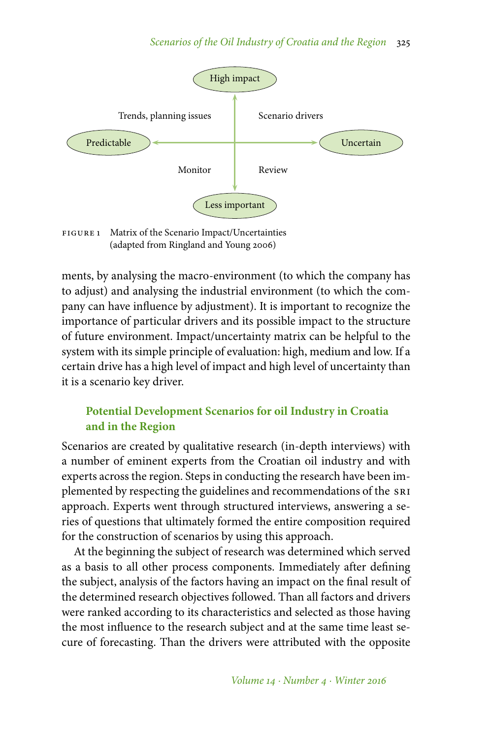

FIGURE 1 Matrix of the Scenario Impact/Uncertainties (adapted from Ringland and Young 2006)

ments, by analysing the macro-environment (to which the company has to adjust) and analysing the industrial environment (to which the company can have influence by adjustment). It is important to recognize the importance of particular drivers and its possible impact to the structure of future environment. Impact/uncertainty matrix can be helpful to the system with its simple principle of evaluation: high, medium and low. If a certain drive has a high level of impact and high level of uncertainty than it is a scenario key driver.

# **Potential Development Scenarios for oil Industry in Croatia and in the Region**

Scenarios are created by qualitative research (in-depth interviews) with a number of eminent experts from the Croatian oil industry and with experts across the region. Steps in conducting the research have been implemented by respecting the guidelines and recommendations of the sri approach. Experts went through structured interviews, answering a series of questions that ultimately formed the entire composition required for the construction of scenarios by using this approach.

At the beginning the subject of research was determined which served as a basis to all other process components. Immediately after defining the subject, analysis of the factors having an impact on the final result of the determined research objectives followed. Than all factors and drivers were ranked according to its characteristics and selected as those having the most influence to the research subject and at the same time least secure of forecasting. Than the drivers were attributed with the opposite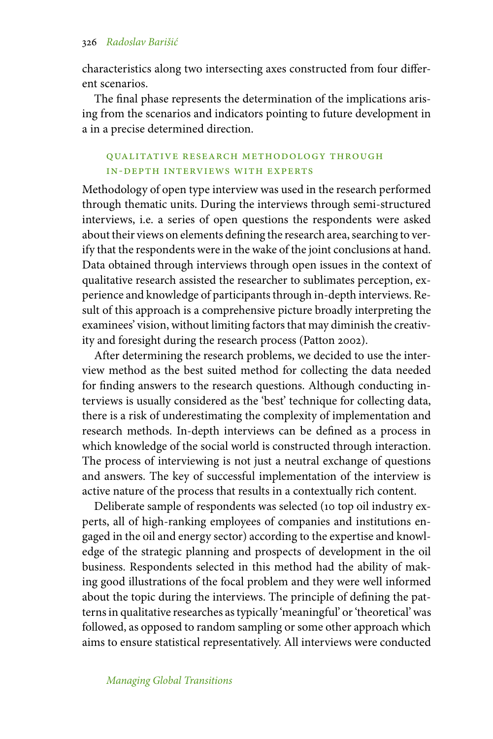characteristics along two intersecting axes constructed from four different scenarios.

The final phase represents the determination of the implications arising from the scenarios and indicators pointing to future development in a in a precise determined direction.

# qualitative research methodology through in-depth interviews with experts

Methodology of open type interview was used in the research performed through thematic units. During the interviews through semi-structured interviews, i.e. a series of open questions the respondents were asked about their views on elements defining the research area, searching to verify that the respondents were in the wake of the joint conclusions at hand. Data obtained through interviews through open issues in the context of qualitative research assisted the researcher to sublimates perception, experience and knowledge of participants through in-depth interviews. Result of this approach is a comprehensive picture broadly interpreting the examinees' vision, without limiting factors that may diminish the creativity and foresight during the research process (Patton 2002).

After determining the research problems, we decided to use the interview method as the best suited method for collecting the data needed for finding answers to the research questions. Although conducting interviews is usually considered as the 'best' technique for collecting data, there is a risk of underestimating the complexity of implementation and research methods. In-depth interviews can be defined as a process in which knowledge of the social world is constructed through interaction. The process of interviewing is not just a neutral exchange of questions and answers. The key of successful implementation of the interview is active nature of the process that results in a contextually rich content.

Deliberate sample of respondents was selected (10 top oil industry experts, all of high-ranking employees of companies and institutions engaged in the oil and energy sector) according to the expertise and knowledge of the strategic planning and prospects of development in the oil business. Respondents selected in this method had the ability of making good illustrations of the focal problem and they were well informed about the topic during the interviews. The principle of defining the patterns in qualitative researches as typically 'meaningful' or 'theoretical' was followed, as opposed to random sampling or some other approach which aims to ensure statistical representatively. All interviews were conducted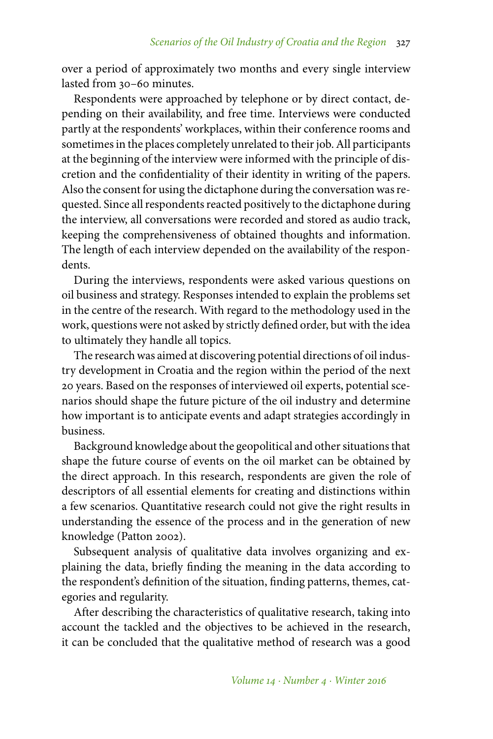over a period of approximately two months and every single interview lasted from 30–60 minutes.

Respondents were approached by telephone or by direct contact, depending on their availability, and free time. Interviews were conducted partly at the respondents' workplaces, within their conference rooms and sometimes in the places completely unrelated to their job. All participants at the beginning of the interview were informed with the principle of discretion and the confidentiality of their identity in writing of the papers. Also the consent for using the dictaphone during the conversation was requested. Since all respondents reacted positively to the dictaphone during the interview, all conversations were recorded and stored as audio track, keeping the comprehensiveness of obtained thoughts and information. The length of each interview depended on the availability of the respondents.

During the interviews, respondents were asked various questions on oil business and strategy. Responses intended to explain the problems set in the centre of the research. With regard to the methodology used in the work, questions were not asked by strictly defined order, but with the idea to ultimately they handle all topics.

The research was aimed at discovering potential directions of oil industry development in Croatia and the region within the period of the next 20 years. Based on the responses of interviewed oil experts, potential scenarios should shape the future picture of the oil industry and determine how important is to anticipate events and adapt strategies accordingly in business.

Background knowledge about the geopolitical and other situations that shape the future course of events on the oil market can be obtained by the direct approach. In this research, respondents are given the role of descriptors of all essential elements for creating and distinctions within a few scenarios. Quantitative research could not give the right results in understanding the essence of the process and in the generation of new knowledge (Patton 2002).

Subsequent analysis of qualitative data involves organizing and explaining the data, briefly finding the meaning in the data according to the respondent's definition of the situation, finding patterns, themes, categories and regularity.

After describing the characteristics of qualitative research, taking into account the tackled and the objectives to be achieved in the research, it can be concluded that the qualitative method of research was a good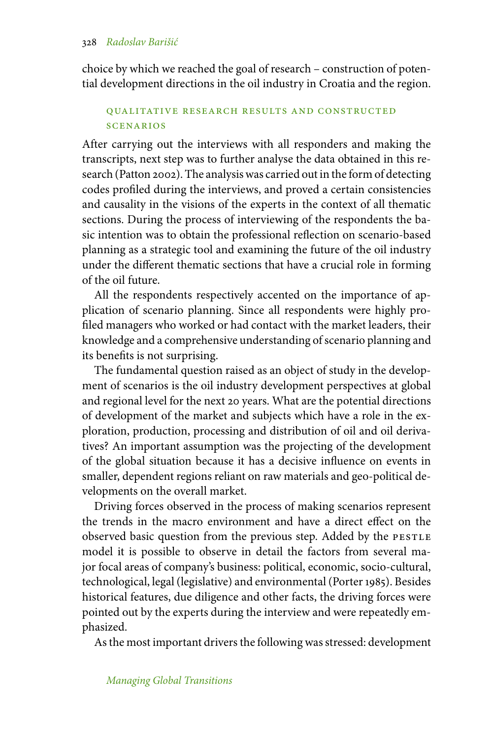choice by which we reached the goal of research – construction of potential development directions in the oil industry in Croatia and the region.

# qualitative research results and constructed scenarios

After carrying out the interviews with all responders and making the transcripts, next step was to further analyse the data obtained in this research (Patton 2002). The analysis was carried out in the form of detecting codes profiled during the interviews, and proved a certain consistencies and causality in the visions of the experts in the context of all thematic sections. During the process of interviewing of the respondents the basic intention was to obtain the professional reflection on scenario-based planning as a strategic tool and examining the future of the oil industry under the different thematic sections that have a crucial role in forming of the oil future.

All the respondents respectively accented on the importance of application of scenario planning. Since all respondents were highly profiled managers who worked or had contact with the market leaders, their knowledge and a comprehensive understanding of scenario planning and its benefits is not surprising.

The fundamental question raised as an object of study in the development of scenarios is the oil industry development perspectives at global and regional level for the next 20 years. What are the potential directions of development of the market and subjects which have a role in the exploration, production, processing and distribution of oil and oil derivatives? An important assumption was the projecting of the development of the global situation because it has a decisive influence on events in smaller, dependent regions reliant on raw materials and geo-political developments on the overall market.

Driving forces observed in the process of making scenarios represent the trends in the macro environment and have a direct effect on the observed basic question from the previous step. Added by the PESTLE model it is possible to observe in detail the factors from several major focal areas of company's business: political, economic, socio-cultural, technological, legal (legislative) and environmental (Porter 1985). Besides historical features, due diligence and other facts, the driving forces were pointed out by the experts during the interview and were repeatedly emphasized.

As the most important drivers the following was stressed: development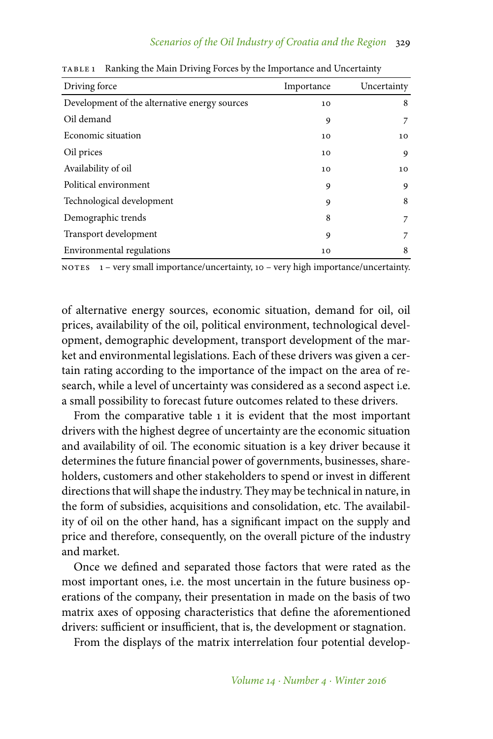| Driving force                                 | Importance | Uncertainty |
|-----------------------------------------------|------------|-------------|
| Development of the alternative energy sources | 10         | 8           |
| Oil demand                                    | 9          | 7           |
| Economic situation                            | 10         | 10          |
| Oil prices                                    | 10         | 9           |
| Availability of oil                           | 10         | 10          |
| Political environment                         | 9          | 9           |
| Technological development                     | 9          | 8           |
| Demographic trends                            | 8          | 7           |
| Transport development                         | 9          | 7           |
| Environmental regulations                     | 10         | 8           |

table 1 Ranking the Main Driving Forces by the Importance and Uncertainty

notes 1 – very small importance/uncertainty, 10 – very high importance/uncertainty.

of alternative energy sources, economic situation, demand for oil, oil prices, availability of the oil, political environment, technological development, demographic development, transport development of the market and environmental legislations. Each of these drivers was given a certain rating according to the importance of the impact on the area of research, while a level of uncertainty was considered as a second aspect i.e. a small possibility to forecast future outcomes related to these drivers.

From the comparative table 1 it is evident that the most important drivers with the highest degree of uncertainty are the economic situation and availability of oil. The economic situation is a key driver because it determines the future financial power of governments, businesses, shareholders, customers and other stakeholders to spend or invest in different directions that will shape the industry. They may be technical in nature, in the form of subsidies, acquisitions and consolidation, etc. The availability of oil on the other hand, has a significant impact on the supply and price and therefore, consequently, on the overall picture of the industry and market.

Once we defined and separated those factors that were rated as the most important ones, i.e. the most uncertain in the future business operations of the company, their presentation in made on the basis of two matrix axes of opposing characteristics that define the aforementioned drivers: sufficient or insufficient, that is, the development or stagnation.

From the displays of the matrix interrelation four potential develop-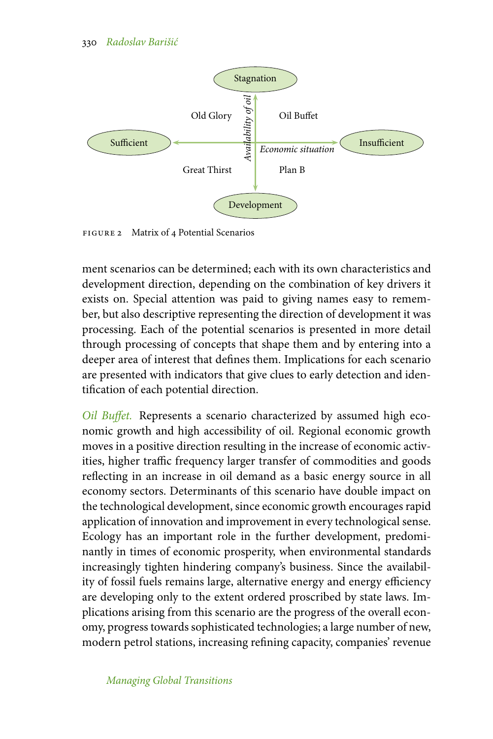

figure 2 Matrix of 4 Potential Scenarios

ment scenarios can be determined; each with its own characteristics and development direction, depending on the combination of key drivers it exists on. Special attention was paid to giving names easy to remember, but also descriptive representing the direction of development it was processing. Each of the potential scenarios is presented in more detail through processing of concepts that shape them and by entering into a deeper area of interest that defines them. Implications for each scenario are presented with indicators that give clues to early detection and identification of each potential direction.

*Oil Buffet.* Represents a scenario characterized by assumed high economic growth and high accessibility of oil. Regional economic growth moves in a positive direction resulting in the increase of economic activities, higher traffic frequency larger transfer of commodities and goods reflecting in an increase in oil demand as a basic energy source in all economy sectors. Determinants of this scenario have double impact on the technological development, since economic growth encourages rapid application of innovation and improvement in every technological sense. Ecology has an important role in the further development, predominantly in times of economic prosperity, when environmental standards increasingly tighten hindering company's business. Since the availability of fossil fuels remains large, alternative energy and energy efficiency are developing only to the extent ordered proscribed by state laws. Implications arising from this scenario are the progress of the overall economy, progress towards sophisticated technologies; a large number of new, modern petrol stations, increasing refining capacity, companies' revenue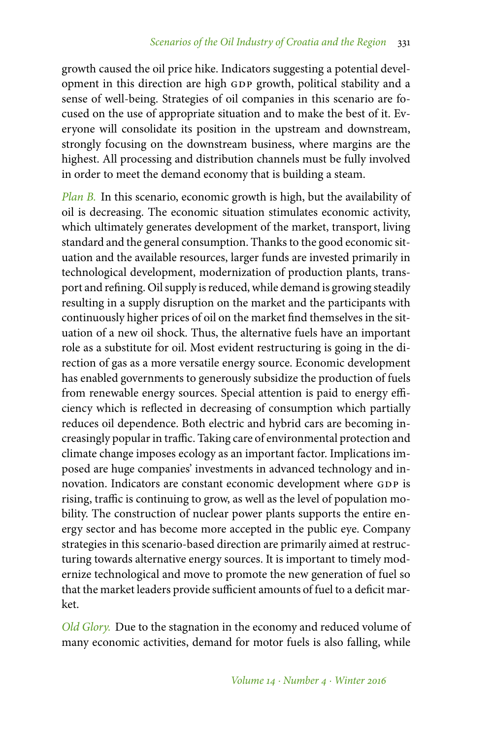growth caused the oil price hike. Indicators suggesting a potential development in this direction are high GDP growth, political stability and a sense of well-being. Strategies of oil companies in this scenario are focused on the use of appropriate situation and to make the best of it. Everyone will consolidate its position in the upstream and downstream, strongly focusing on the downstream business, where margins are the highest. All processing and distribution channels must be fully involved in order to meet the demand economy that is building a steam.

*Plan B.* In this scenario, economic growth is high, but the availability of oil is decreasing. The economic situation stimulates economic activity, which ultimately generates development of the market, transport, living standard and the general consumption. Thanks to the good economic situation and the available resources, larger funds are invested primarily in technological development, modernization of production plants, transport and refining. Oil supply is reduced, while demand is growing steadily resulting in a supply disruption on the market and the participants with continuously higher prices of oil on the market find themselves in the situation of a new oil shock. Thus, the alternative fuels have an important role as a substitute for oil. Most evident restructuring is going in the direction of gas as a more versatile energy source. Economic development has enabled governments to generously subsidize the production of fuels from renewable energy sources. Special attention is paid to energy efficiency which is reflected in decreasing of consumption which partially reduces oil dependence. Both electric and hybrid cars are becoming increasingly popular in traffic. Taking care of environmental protection and climate change imposes ecology as an important factor. Implications imposed are huge companies' investments in advanced technology and innovation. Indicators are constant economic development where GDP is rising, traffic is continuing to grow, as well as the level of population mobility. The construction of nuclear power plants supports the entire energy sector and has become more accepted in the public eye. Company strategies in this scenario-based direction are primarily aimed at restructuring towards alternative energy sources. It is important to timely modernize technological and move to promote the new generation of fuel so that the market leaders provide sufficient amounts of fuel to a deficit market.

*Old Glory.* Due to the stagnation in the economy and reduced volume of many economic activities, demand for motor fuels is also falling, while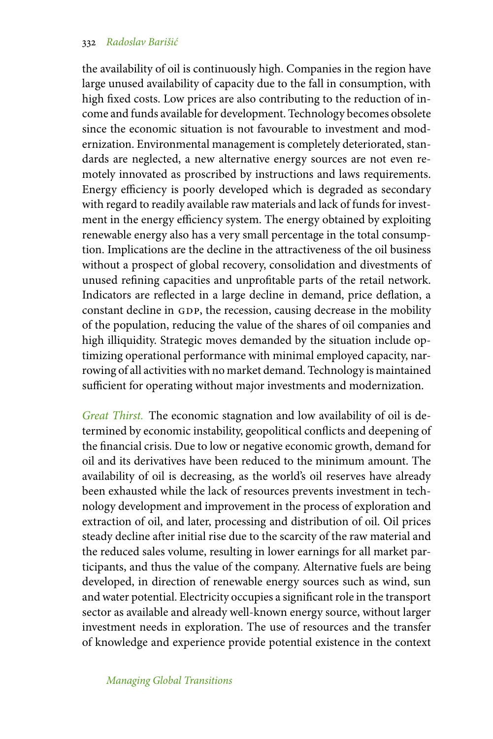the availability of oil is continuously high. Companies in the region have large unused availability of capacity due to the fall in consumption, with high fixed costs. Low prices are also contributing to the reduction of income and funds available for development. Technology becomes obsolete since the economic situation is not favourable to investment and modernization. Environmental management is completely deteriorated, standards are neglected, a new alternative energy sources are not even remotely innovated as proscribed by instructions and laws requirements. Energy efficiency is poorly developed which is degraded as secondary with regard to readily available raw materials and lack of funds for investment in the energy efficiency system. The energy obtained by exploiting renewable energy also has a very small percentage in the total consumption. Implications are the decline in the attractiveness of the oil business without a prospect of global recovery, consolidation and divestments of unused refining capacities and unprofitable parts of the retail network. Indicators are reflected in a large decline in demand, price deflation, a constant decline in GDP, the recession, causing decrease in the mobility of the population, reducing the value of the shares of oil companies and high illiquidity. Strategic moves demanded by the situation include optimizing operational performance with minimal employed capacity, narrowing of all activities with no market demand. Technology is maintained sufficient for operating without major investments and modernization.

*Great Thirst.* The economic stagnation and low availability of oil is determined by economic instability, geopolitical conflicts and deepening of the financial crisis. Due to low or negative economic growth, demand for oil and its derivatives have been reduced to the minimum amount. The availability of oil is decreasing, as the world's oil reserves have already been exhausted while the lack of resources prevents investment in technology development and improvement in the process of exploration and extraction of oil, and later, processing and distribution of oil. Oil prices steady decline after initial rise due to the scarcity of the raw material and the reduced sales volume, resulting in lower earnings for all market participants, and thus the value of the company. Alternative fuels are being developed, in direction of renewable energy sources such as wind, sun and water potential. Electricity occupies a significant role in the transport sector as available and already well-known energy source, without larger investment needs in exploration. The use of resources and the transfer of knowledge and experience provide potential existence in the context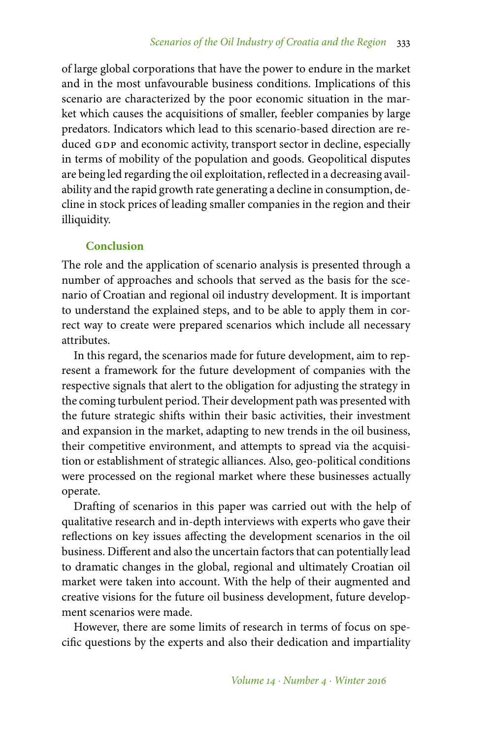of large global corporations that have the power to endure in the market and in the most unfavourable business conditions. Implications of this scenario are characterized by the poor economic situation in the market which causes the acquisitions of smaller, feebler companies by large predators. Indicators which lead to this scenario-based direction are reduced GDP and economic activity, transport sector in decline, especially in terms of mobility of the population and goods. Geopolitical disputes are being led regarding the oil exploitation, reflected in a decreasing availability and the rapid growth rate generating a decline in consumption, decline in stock prices of leading smaller companies in the region and their illiquidity.

# **Conclusion**

The role and the application of scenario analysis is presented through a number of approaches and schools that served as the basis for the scenario of Croatian and regional oil industry development. It is important to understand the explained steps, and to be able to apply them in correct way to create were prepared scenarios which include all necessary attributes.

In this regard, the scenarios made for future development, aim to represent a framework for the future development of companies with the respective signals that alert to the obligation for adjusting the strategy in the coming turbulent period. Their development path was presented with the future strategic shifts within their basic activities, their investment and expansion in the market, adapting to new trends in the oil business, their competitive environment, and attempts to spread via the acquisition or establishment of strategic alliances. Also, geo-political conditions were processed on the regional market where these businesses actually operate.

Drafting of scenarios in this paper was carried out with the help of qualitative research and in-depth interviews with experts who gave their reflections on key issues affecting the development scenarios in the oil business. Different and also the uncertain factors that can potentially lead to dramatic changes in the global, regional and ultimately Croatian oil market were taken into account. With the help of their augmented and creative visions for the future oil business development, future development scenarios were made.

However, there are some limits of research in terms of focus on specific questions by the experts and also their dedication and impartiality